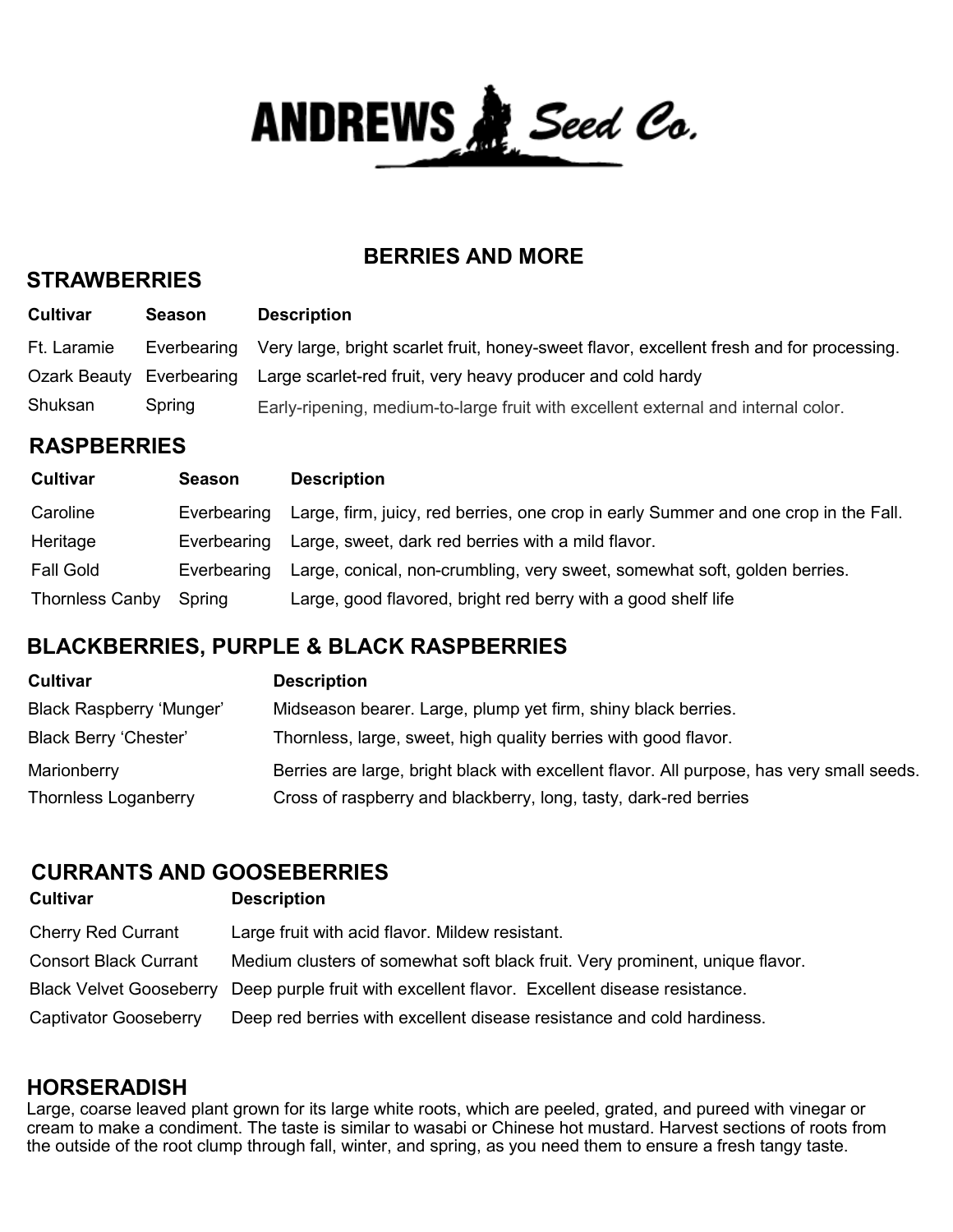ANDREWS & Seed Co.

## **BERRIES AND MORE**

#### **STRAWBERRIES**

| <b>Cultivar</b> | Season      | <b>Description</b>                                                                        |
|-----------------|-------------|-------------------------------------------------------------------------------------------|
| Ft. Laramie     | Everbearing | Very large, bright scarlet fruit, honey-sweet flavor, excellent fresh and for processing. |
| Ozark Beauty    | Everbearing | Large scarlet-red fruit, very heavy producer and cold hardy                               |
| Shuksan         | Spring      | Early-ripening, medium-to-large fruit with excellent external and internal color.         |

## **RASPBERRIES**

| <b>Cultivar</b>        | Season      | <b>Description</b>                                                                  |
|------------------------|-------------|-------------------------------------------------------------------------------------|
| Caroline               | Everbearing | Large, firm, juicy, red berries, one crop in early Summer and one crop in the Fall. |
| Heritage               | Everbearing | Large, sweet, dark red berries with a mild flavor.                                  |
| <b>Fall Gold</b>       | Everbearing | Large, conical, non-crumbling, very sweet, somewhat soft, golden berries.           |
| <b>Thornless Canby</b> | Spring      | Large, good flavored, bright red berry with a good shelf life                       |

# **BLACKBERRIES, PURPLE & BLACK RASPBERRIES**

| <b>Cultivar</b>                 | <b>Description</b>                                                                        |
|---------------------------------|-------------------------------------------------------------------------------------------|
| <b>Black Raspberry 'Munger'</b> | Midseason bearer. Large, plump yet firm, shiny black berries.                             |
| <b>Black Berry 'Chester'</b>    | Thornless, large, sweet, high quality berries with good flavor.                           |
| Marionberry                     | Berries are large, bright black with excellent flavor. All purpose, has very small seeds. |
| <b>Thornless Loganberry</b>     | Cross of raspberry and blackberry, long, tasty, dark-red berries                          |

# **CURRANTS AND GOOSEBERRIES**

| <b>Cultivar</b>              | <b>Description</b>                                                                             |
|------------------------------|------------------------------------------------------------------------------------------------|
| <b>Cherry Red Currant</b>    | Large fruit with acid flavor. Mildew resistant.                                                |
| <b>Consort Black Currant</b> | Medium clusters of somewhat soft black fruit. Very prominent, unique flavor.                   |
|                              | Black Velvet Gooseberry Deep purple fruit with excellent flavor. Excellent disease resistance. |
| Captivator Gooseberry        | Deep red berries with excellent disease resistance and cold hardiness.                         |

## **HORSERADISH**

Large, coarse leaved plant grown for its large white roots, which are peeled, grated, and pureed with vinegar or cream to make a condiment. The taste is similar to wasabi or Chinese hot mustard. Harvest sections of roots from the outside of the root clump through fall, winter, and spring, as you need them to ensure a fresh tangy taste.